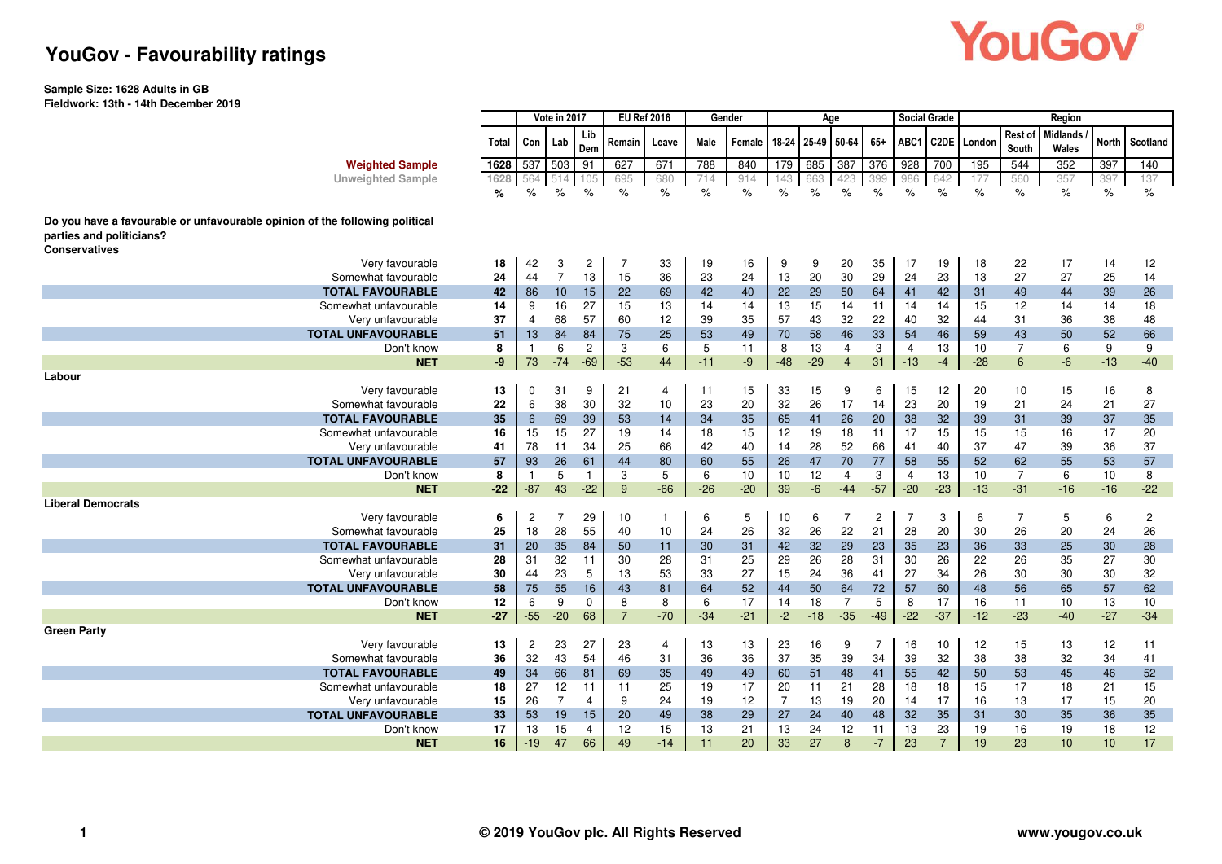# YouGov®

### **YouGov - Favourability ratings**

#### **Sample Size: 1628 Adults in GB Fieldwork: 13th - 14th December 2019**

|                                                                                                                                 |         | Vote in 2017   |                |                | <b>EU Ref 2016</b> |                | Gender   |               |                |               | Age            |                |                | <b>Social Grade</b> | Region      |                  |                          |              |                |  |
|---------------------------------------------------------------------------------------------------------------------------------|---------|----------------|----------------|----------------|--------------------|----------------|----------|---------------|----------------|---------------|----------------|----------------|----------------|---------------------|-------------|------------------|--------------------------|--------------|----------------|--|
|                                                                                                                                 | Total   | Con            | Lab            | Lib<br>Dem     | Remain             | Leave          | Male     | Female        | 18-24          |               | 25-49 50-64    | $65+$          | ABC1           |                     | C2DE London | Rest of<br>South | <b>Midlands</b><br>Wales | <b>North</b> | Scotland       |  |
| <b>Weighted Sample</b>                                                                                                          | 1628    | 537            | 503            | 91             | 627                | 671            | 788      | 840           | 179            | 685           | 387            | 376            | 928            | 700                 | 195         | 544              | 352                      | 397          | 140            |  |
| <b>Unweighted Sample</b>                                                                                                        | 1628    |                |                |                | 695                | 680            | 714      | 914           |                | 663           | 123            | 399            | 986            | 642                 | 77          | 560              | 357                      | 397          | 137            |  |
|                                                                                                                                 | %       | $\%$           | $\%$           | $\%$           | $\%$               | $\%$           | $\%$     | $\frac{1}{6}$ | %              | $\frac{9}{6}$ | $\frac{1}{6}$  | $\%$           | $\frac{9}{6}$  | $\%$                | $\%$        | $\frac{1}{6}$    | $\frac{1}{6}$            | $\%$         | %              |  |
| Do you have a favourable or unfavourable opinion of the following political<br>parties and politicians?<br><b>Conservatives</b> |         |                |                |                |                    |                |          |               |                |               |                |                |                |                     |             |                  |                          |              |                |  |
| Very favourable                                                                                                                 | 18      | 42             | 3              | $\overline{c}$ | $\overline{7}$     | 33             | 19       | 16            | 9              | 9             | 20             | 35             | 17             | 19                  | 18          | 22               | 17                       | 14           | 12             |  |
| Somewhat favourable                                                                                                             | 24      | 44             | $\overline{7}$ | 13             | 15                 | 36             | 23       | 24            | 13             | 20            | 30             | 29             | 24             | 23                  | 13          | 27               | 27                       | 25           | 14             |  |
| <b>TOTAL FAVOURABLE</b>                                                                                                         | 42      | 86             | 10             | 15             | 22                 | 69             | 42       | 40            | 22             | 29            | 50             | 64             | 41             | 42                  | 31          | 49               | 44                       | 39           | 26             |  |
| Somewhat unfavourable                                                                                                           | 14      | 9              | 16             | 27             | 15                 | 13             | 14       | 14            | 13             | 15            | 14             | 11             | 14             | 14                  | 15          | 12               | 14                       | 14           | 18             |  |
| Very unfavourable                                                                                                               | 37      | 4              | 68             | 57             | 60                 | 12             | 39       | 35            | 57             | 43            | 32             | 22             | 40             | 32                  | 44          | 31               | 36                       | 38           | 48             |  |
| <b>TOTAL UNFAVOURABLE</b>                                                                                                       | 51      | 13             | 84             | 84             | 75                 | 25             | 53       | 49            | 70             | 58            | 46             | 33             | 54             | 46                  | 59          | 43               | 50                       | 52           | 66             |  |
| Don't know                                                                                                                      | 8       | $\overline{1}$ | 6              | 2              | 3                  | 6              | 5        | 11            | 8              | 13            | $\overline{4}$ | 3              | $\overline{4}$ | 13                  | 10          | $\overline{7}$   | 6                        | 9            | 9              |  |
| <b>NET</b>                                                                                                                      | -9      | 73             | $-74$          | $-69$          | $-53$              | 44             | $-11$    | $-9$          | $-48$          | $-29$         | $\overline{4}$ | 31             | $-13$          | $-4$                | $-28$       | 6                | $-6$                     | $-13$        | $-40$          |  |
| Labour                                                                                                                          |         |                |                |                |                    |                |          |               |                |               |                |                |                |                     |             |                  |                          |              |                |  |
| Very favourable                                                                                                                 | 13      | $\Omega$       | 31<br>38       | 9<br>30        | 21                 | 4              | 11       | 15            | 33             | 15            | 9              | 6              | 15             | 12                  | 20          | 10               | 15                       | 16           | 8              |  |
| Somewhat favourable                                                                                                             | 22      | 6              | 69             |                | 32                 | 10             | 23       | 20            | 32             | 26            | 17             | 14             | 23             | 20                  | 19          | 21               | 24                       | 21           | 27             |  |
| <b>TOTAL FAVOURABLE</b>                                                                                                         | 35      | 6              |                | 39<br>27       | 53                 | 14<br>14       | 34       | 35            | 65             | 41<br>19      | 26<br>18       | 20<br>11       | 38<br>17       | 32                  | 39          | 31               | 39                       | 37           | 35             |  |
| Somewhat unfavourable                                                                                                           | 16      | 15             | 15             | 34             | 19                 |                | 18       | 15            | 12             |               |                |                |                | 15                  | 15<br>37    | 15               | 16                       | 17           | 20<br>37       |  |
| Very unfavourable<br><b>TOTAL UNFAVOURABLE</b>                                                                                  | 41      | 78             | 11<br>26       | 61             | 25                 | 66<br>80       | 42<br>60 | 40            | 14<br>26       | 28<br>47      | 52<br>70       | 66<br>77       | 41<br>58       | 40<br>55            | 52          | 47<br>62         | 39<br>55                 | 36<br>53     | 57             |  |
| Don't know                                                                                                                      | 57<br>8 | 93<br>-1       | 5              | $\mathbf{1}$   | 44<br>3            | 5              | 6        | 55<br>10      | 10             | 12            | 4              | 3              | $\overline{4}$ | 13                  | 10          | $\overline{7}$   | 6                        | 10           | 8              |  |
| <b>NET</b>                                                                                                                      | $-22$   | $-87$          | 43             | $-22$          | 9                  | $-66$          | $-26$    | $-20$         | 39             | $-6$          | $-44$          | $-57$          | $-20$          | $-23$               | $-13$       | $-31$            | $-16$                    | $-16$        | $-22$          |  |
| <b>Liberal Democrats</b>                                                                                                        |         |                |                |                |                    |                |          |               |                |               |                |                |                |                     |             |                  |                          |              |                |  |
| Very favourable                                                                                                                 | 6       | $\overline{c}$ | $\overline{7}$ | 29             | 10                 | $\overline{1}$ | 6        | 5             | 10             | 6             | 7              | $\overline{c}$ | $\overline{7}$ | 3                   | 6           | $\overline{7}$   | 5                        | 6            | $\overline{c}$ |  |
| Somewhat favourable                                                                                                             | 25      | 18             | 28             | 55             | 40                 | 10             | 24       | 26            | 32             | 26            | 22             | 21             | 28             | 20                  | 30          | 26               | 20                       | 24           | 26             |  |
| <b>TOTAL FAVOURABLE</b>                                                                                                         | 31      | 20             | 35             | 84             | 50                 | 11             | 30       | 31            | 42             | 32            | 29             | 23             | 35             | 23                  | 36          | 33               | 25                       | 30           | 28             |  |
| Somewhat unfavourable                                                                                                           | 28      | 31             | 32             | 11             | 30                 | 28             | 31       | 25            | 29             | 26            | 28             | 31             | 30             | 26                  | 22          | 26               | 35                       | 27           | 30             |  |
| Very unfavourable                                                                                                               | 30      | 44             | 23             | 5              | 13                 | 53             | 33       | 27            | 15             | 24            | 36             | 41             | 27             | 34                  | 26          | 30               | 30                       | 30           | 32             |  |
| <b>TOTAL UNFAVOURABLE</b>                                                                                                       | 58      | 75             | 55             | 16             | 43                 | 81             | 64       | 52            | 44             | 50            | 64             | 72             | 57             | 60                  | 48          | 56               | 65                       | 57           | 62             |  |
| Don't know                                                                                                                      | 12      | 6              | 9              | $\Omega$       | 8                  | 8              | 6        | 17            | 14             | 18            | $\overline{7}$ | 5              | 8              | 17                  | 16          | 11               | 10                       | 13           | 10             |  |
| <b>NET</b>                                                                                                                      | $-27$   | $-55$          | $-20$          | 68             | $\overline{7}$     | $-70$          | $-34$    | $-21$         | $-2$           | $-18$         | $-35$          | $-49$          | $-22$          | $-37$               | $-12$       | $-23$            | $-40$                    | $-27$        | $-34$          |  |
| <b>Green Party</b>                                                                                                              |         |                |                |                |                    |                |          |               |                |               |                |                |                |                     |             |                  |                          |              |                |  |
| Very favourable                                                                                                                 | 13      | $\overline{c}$ | 23             | 27             | 23                 | $\overline{4}$ | 13       | 13            | 23             | 16            | 9              | $\overline{7}$ | 16             | 10                  | 12          | 15               | 13                       | 12           | 11             |  |
| Somewhat favourable                                                                                                             | 36      | 32             | 43             | 54             | 46                 | 31             | 36       | 36            | 37             | 35            | 39             | 34             | 39             | 32                  | 38          | 38               | 32                       | 34           | 41             |  |
| <b>TOTAL FAVOURABLE</b>                                                                                                         | 49      | 34             | 66             | 81             | 69                 | 35             | 49       | 49            | 60             | 51            | 48             | 41             | 55             | 42                  | 50          | 53               | 45                       | 46           | 52             |  |
| Somewhat unfavourable                                                                                                           | 18      | 27             | 12             | 11             | 11                 | 25             | 19       | 17            | 20             | 11            | 21             | 28             | 18             | 18                  | 15          | 17               | 18                       | 21           | 15             |  |
| Very unfavourable                                                                                                               | 15      | 26             | $\overline{7}$ | $\overline{4}$ | 9                  | 24             | 19       | 12            | $\overline{7}$ | 13            | 19             | 20             | 14             | 17                  | 16          | 13               | 17                       | 15           | 20             |  |
| <b>TOTAL UNFAVOURABLE</b>                                                                                                       | 33      | 53             | 19             | 15             | 20                 | 49             | 38       | 29            | 27             | 24            | 40             | 48             | 32             | 35                  | 31          | 30               | 35                       | 36           | 35             |  |
| Don't know                                                                                                                      | 17      | 13             | 15             | $\overline{4}$ | 12                 | 15             | 13       | 21            | 13             | 24            | 12             | 11             | 13             | 23                  | 19          | 16               | 19                       | 18           | 12             |  |
| <b>NET</b>                                                                                                                      | 16      | $-19$          | 47             | 66             | 49                 | $-14$          | 11       | 20            | 33             | 27            | 8              | $-7$           | 23             | $\overline{7}$      | 19          | 23               | 10                       | 10           | 17             |  |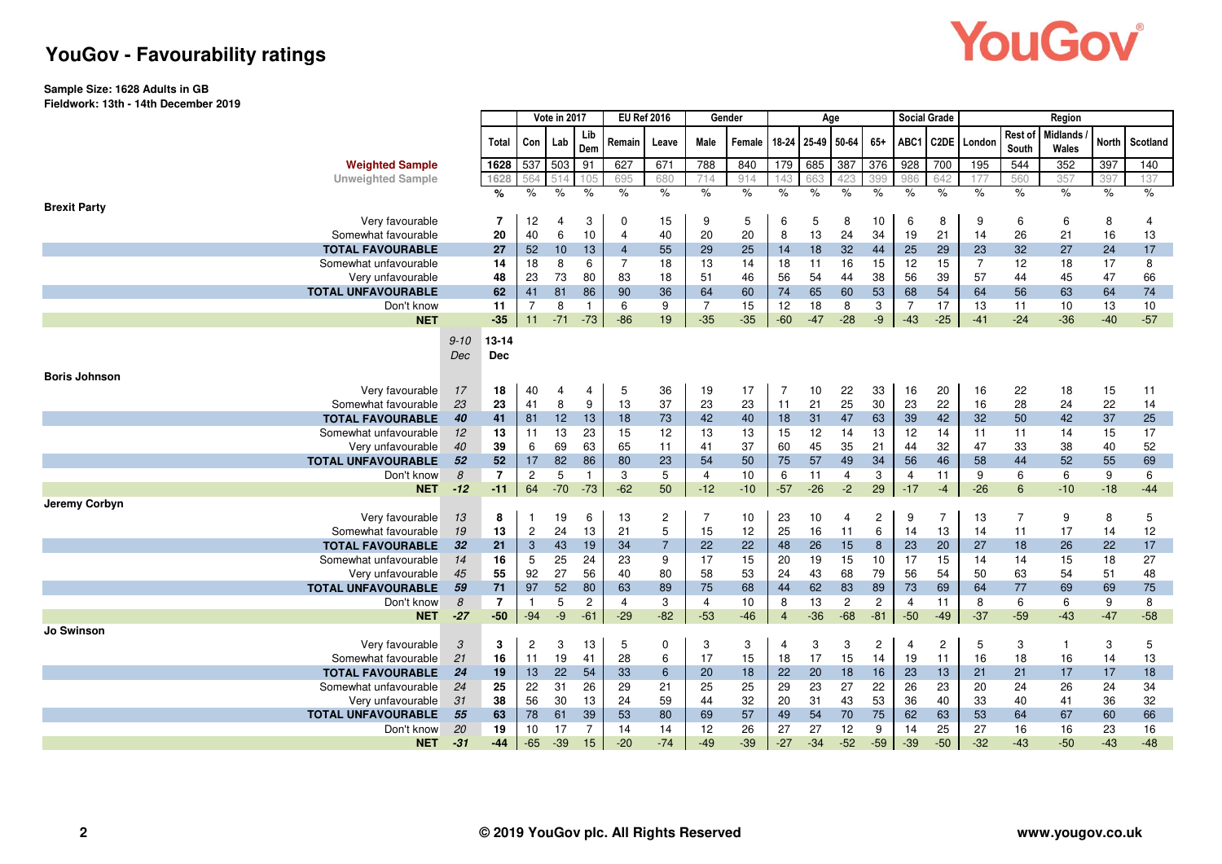# YouGov®

### **YouGov - Favourability ratings**

#### **Sample Size: 1628 Adults in GB**

**Fieldwork: 13th - 14th December 2019**

|                                  |               | Vote in 2017            |                |               | <b>EU Ref 2016</b> |                | Gender         |                |               |                | Age         |                |                | Social Grade     |                |                | Region           |                          |       |            |
|----------------------------------|---------------|-------------------------|----------------|---------------|--------------------|----------------|----------------|----------------|---------------|----------------|-------------|----------------|----------------|------------------|----------------|----------------|------------------|--------------------------|-------|------------|
|                                  |               | Total                   | Con            | Lab           | Lib<br>Dem         | Remain         | Leave          | Male           | Female        | 18-24          | 25-49       | 50-64          | $65+$          | ABC1             |                | C2DE London    | Rest of<br>South | <b>Midlands</b><br>Wales | North | Scotland   |
| <b>Weighted Sample</b>           |               | 1628                    | 537            | 503           | 91                 | 627            | 671            | 788            | 840           | 179            | 685         | 387            | 376            | $\overline{928}$ | 700            | 195            | 544              | 352                      | 397   | 140        |
| <b>Unweighted Sample</b>         |               | 1628                    | 564            | 514           | 105                | 695            | 680            | 714            | 914           | 143            | 663         | 423            | 399            | 986              | 642            | 177            | 560              | 357                      | 397   | 137        |
|                                  |               | %                       | $\frac{9}{6}$  | $\frac{1}{6}$ | $\frac{9}{6}$      | $\%$           | $\frac{9}{6}$  | $\%$           | $\frac{9}{6}$ | $\%$           | $\%$        | $\%$           | $\%$           | $\%$             | $\%$           | $\%$           | $\%$             | $\%$                     | $\%$  | $\%$       |
| <b>Brexit Party</b>              |               |                         |                |               |                    |                |                |                |               |                |             |                |                |                  |                |                |                  |                          |       |            |
| Very favourable                  |               | $\overline{7}$          | 12             | 4             | 3                  | $\mathbf 0$    | 15             | 9              | 5             | 6              | 5           | 8              | 10             | 6                | 8              | 9              | 6                | 6                        | 8     | 4          |
| Somewhat favourable              |               | 20                      | 40             | 6             | 10                 | $\overline{4}$ | 40             | 20             | 20            | 8              | 13          | 24             | 34             | 19               | 21             | 14             | 26               | 21                       | 16    | 13         |
| <b>TOTAL FAVOURABLE</b>          |               | 27                      | 52             | 10            | 13                 | $\overline{4}$ | 55             | 29             | 25            | 14             | 18          | 32             | 44             | 25               | 29             | 23             | 32               | 27                       | 24    | 17         |
| Somewhat unfavourable            |               | 14                      | 18             | 8             | 6                  | $\overline{7}$ | 18             | 13             | 14            | 18             | 11          | 16             | 15             | 12               | 15             | $\overline{7}$ | 12               | 18                       | 17    | 8          |
| Very unfavourable                |               | 48                      | 23             | 73            | 80                 | 83             | 18             | 51             | 46            | 56             | 54          | 44             | 38             | 56               | 39             | 57             | 44               | 45                       | 47    | 66         |
| <b>TOTAL UNFAVOURABLE</b>        |               | 62                      | 41             | 81            | 86                 | 90             | 36             | 64             | 60            | 74             | 65          | 60             | 53             | 68               | 54             | 64             | 56               | 63                       | 64    | 74         |
| Don't know                       |               | 11                      | 7              | 8             | $\mathbf{1}$       | 6              | 9              | $\overline{7}$ | 15            | 12             | 18          | 8              | 3              | $\overline{7}$   | 17             | 13             | 11               | 10                       | 13    | 10         |
| <b>NET</b>                       |               | $-35$                   | 11             | $-71$         | $-73$              | $-86$          | 19             | $-35$          | $-35$         | $-60$          | $-47$       | $-28$          | $-9$           | $-43$            | $-25$          | $-41$          | $-24$            | $-36$                    | $-40$ | $-57$      |
|                                  | $9 - 10$      | 13-14                   |                |               |                    |                |                |                |               |                |             |                |                |                  |                |                |                  |                          |       |            |
|                                  | Dec           | <b>Dec</b>              |                |               |                    |                |                |                |               |                |             |                |                |                  |                |                |                  |                          |       |            |
|                                  |               |                         |                |               |                    |                |                |                |               |                |             |                |                |                  |                |                |                  |                          |       |            |
| <b>Boris Johnson</b>             |               |                         |                |               |                    |                |                |                |               |                |             |                |                |                  |                |                |                  |                          |       |            |
| Very favourable                  | 17            | 18                      | 40             | 4             | 4                  | 5              | 36             | 19             | 17            | $\overline{7}$ | 10          | 22             | 33             | 16               | 20             | 16             | 22               | 18                       | 15    | 11         |
| Somewhat favourable              | 23            | 23                      | 41             | 8             | 9                  | 13             | 37             | 23             | 23            | 11             | 21          | 25             | 30             | 23               | 22             | 16             | 28               | 24                       | 22    | 14         |
| <b>TOTAL FAVOURABLE</b>          | 40            | 41                      | 81             | 12            | 13                 | 18             | 73             | 42             | 40            | 18             | 31          | 47             | 63             | 39               | 42             | 32             | 50               | 42                       | 37    | 25         |
| Somewhat unfavourable            | 12            | 13                      | 11             | 13            | 23                 | 15             | 12             | 13             | 13            | 15             | 12          | 14             | 13             | 12               | 14             | 11             | 11               | 14                       | 15    | 17         |
| Very unfavourable                | 40            | 39                      | 6              | 69            | 63                 | 65             | 11             | 41             | 37            | 60             | 45          | 35             | 21             | 44               | 32             | 47             | 33               | 38                       | 40    | 52         |
| <b>TOTAL UNFAVOURABLE</b>        | 52            | 52                      | 17             | 82            | 86<br>$\mathbf{1}$ | 80             | 23             | 54             | 50            | 75             | 57          | 49             | 34             | 56               | 46             | 58             | 44               | 52                       | 55    | 69         |
| Don't know                       | 8             | $\overline{7}$<br>$-11$ | 2              | 5             |                    | 3<br>$-62$     | 5<br>50        | 4<br>$-12$     | 10<br>$-10$   | 6              | 11<br>$-26$ | 4              | 3<br>29        | 4<br>$-17$       | 11             | 9<br>$-26$     | 6                | 6<br>$-10$               | 9     | 6<br>$-44$ |
| <b>NET</b>                       | $-12$         |                         | 64             | $-70$         | $-73$              |                |                |                |               | $-57$          |             | $-2$           |                |                  | $-4$           |                | 6                |                          | $-18$ |            |
| Jeremy Corbyn<br>Very favourable |               | 8                       |                | 19            | 6                  | 13             | $\overline{c}$ | $\overline{7}$ | 10            | 23             | 10          | 4              | $\overline{c}$ | 9                | $\overline{7}$ | 13             | $\overline{7}$   | 9                        | 8     | 5          |
| Somewhat favourable              | 13<br>19      | 13                      | $\overline{c}$ | 24            | 13                 | 21             | 5              | 15             | 12            | 25             | 16          | 11             | 6              | 14               | 13             | 14             | 11               | 17                       | 14    | 12         |
| <b>TOTAL FAVOURABLE</b>          | 32            | 21                      | 3              | 43            | 19                 | 34             | $\overline{7}$ | 22             | 22            | 48             | 26          | 15             | 8              | 23               | 20             | 27             | 18               | 26                       | 22    | 17         |
| Somewhat unfavourable            | 14            | 16                      | 5              | 25            | 24                 | 23             | 9              | 17             | 15            | 20             | 19          | 15             | 10             | 17               | 15             | 14             | 14               | 15                       | 18    | 27         |
| Very unfavourable                | 45            | 55                      | 92             | 27            | 56                 | 40             | 80             | 58             | 53            | 24             | 43          | 68             | 79             | 56               | 54             | 50             | 63               | 54                       | 51    | 48         |
| <b>TOTAL UNFAVOURABLE</b>        | 59            | 71                      | 97             | 52            | 80                 | 63             | 89             | 75             | 68            | 44             | 62          | 83             | 89             | 73               | 69             | 64             | 77               | 69                       | 69    | 75         |
| Don't know                       | 8             | $\overline{7}$          | -1             | 5             | $\overline{c}$     | $\overline{4}$ | 3              | 4              | 10            | 8              | 13          | $\overline{2}$ | $\overline{2}$ | $\overline{4}$   | 11             | 8              | 6                | 6                        | 9     | 8          |
| <b>NET</b>                       | $-27$         | $-50$                   | $-94$          | -9            | $-61$              | $-29$          | $-82$          | $-53$          | $-46$         | $\overline{4}$ | $-36$       | $-68$          | $-81$          | $-50$            | $-49$          | $-37$          | $-59$            | $-43$                    | $-47$ | $-58$      |
| Jo Swinson                       |               |                         |                |               |                    |                |                |                |               |                |             |                |                |                  |                |                |                  |                          |       |            |
| Very favourable                  | $\mathcal{S}$ | 3                       | 2              | 3             | 13                 | 5              | $\mathbf 0$    | 3              | 3             | 4              | 3           | 3              | $\overline{c}$ | $\overline{4}$   | $\overline{c}$ | 5              | 3                | $\overline{1}$           | 3     | 5          |
| Somewhat favourable              | 21            | 16                      | 11             | 19            | 41                 | 28             | 6              | 17             | 15            | 18             | 17          | 15             | 14             | 19               | 11             | 16             | 18               | 16                       | 14    | 13         |
| <b>TOTAL FAVOURABLE</b>          | 24            | 19                      | 13             | 22            | 54                 | 33             | 6              | 20             | 18            | 22             | 20          | 18             | 16             | 23               | 13             | 21             | 21               | 17                       | 17    | 18         |
| Somewhat unfavourable            | 24            | 25                      | 22             | 31            | 26                 | 29             | 21             | 25             | 25            | 29             | 23          | 27             | 22             | 26               | 23             | 20             | 24               | 26                       | 24    | 34         |
| Very unfavourable                | 31            | 38                      | 56             | 30            | 13                 | 24             | 59             | 44             | 32            | 20             | 31          | 43             | 53             | 36               | 40             | 33             | 40               | 41                       | 36    | 32         |
| <b>TOTAL UNFAVOURABLE</b>        | 55            | 63                      | 78             | 61            | 39                 | 53             | 80             | 69             | 57            | 49             | 54          | 70             | 75             | 62               | 63             | 53             | 64               | 67                       | 60    | 66         |
| Don't know                       | 20            | 19                      | 10             | 17            | $\overline{7}$     | 14             | 14             | 12             | 26            | 27             | 27          | 12             | 9              | 14               | 25             | 27             | 16               | 16                       | 23    | 16         |
| <b>NET</b>                       | $-31$         | $-44$                   | $-65$          | $-39$         | 15                 | $-20$          | $-74$          | $-49$          | $-39$         | $-27$          | $-34$       | $-52$          | $-59$          | $-39$            | $-50$          | $-32$          | $-43$            | $-50$                    | $-43$ | $-48$      |
|                                  |               |                         |                |               |                    |                |                |                |               |                |             |                |                |                  |                |                |                  |                          |       |            |